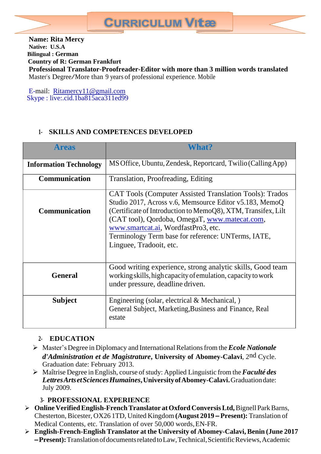

E-mail: [Ritamercy11@gmail.com](mailto:Ritamercy11@gmail.com) Skype : live:.cid.1ba815aca311ed99

## **1- SKILLS AND COMPETENCES DEVELOPED**

| <b>Areas</b>                  | <b>What?</b>                                                                                                                                                                                                                                                                                                                                                         |  |  |
|-------------------------------|----------------------------------------------------------------------------------------------------------------------------------------------------------------------------------------------------------------------------------------------------------------------------------------------------------------------------------------------------------------------|--|--|
| <b>Information Technology</b> | MS Office, Ubuntu, Zendesk, Reportcard, Twilio (Calling App)                                                                                                                                                                                                                                                                                                         |  |  |
| Communication                 | Translation, Proofreading, Editing                                                                                                                                                                                                                                                                                                                                   |  |  |
| <b>Communication</b>          | <b>CAT Tools (Computer Assisted Translation Tools): Trados</b><br>Studio 2017, Across v.6, Memsource Editor v5.183, MemoQ<br>(Certificate of Introduction to MemoQ8), XTM, Transifex, Lilt<br>(CAT tool), Qordoba, OmegaT, www.matecat.com,<br>www.smartcat.ai, WordfastPro3, etc.<br>Terminology Term base for reference: UNTerms, IATE,<br>Linguee, Tradooit, etc. |  |  |
| <b>General</b>                | Good writing experience, strong analytic skills, Good team<br>working skills, high capacity of emulation, capacity to work<br>under pressure, deadline driven.                                                                                                                                                                                                       |  |  |
| <b>Subject</b>                | Engineering (solar, electrical & Mechanical, )<br>General Subject, Marketing, Business and Finance, Real<br>estate                                                                                                                                                                                                                                                   |  |  |

## **2- EDUCATION**

- ➢ Master'sDegree in Diplomacy and InternationalRelationsfrom the*Ecole Nationale d'Administration et de Magistrature***, University of Abomey-Calavi**, 2nd Cycle. Graduation date: February 2013.
- ➢ Maîtrise Degree in English, course ofstudy: Applied Linguistic from the*Faculté des LettresArtsetSciencesHumaines***,UniversityofAbomey-Calavi.**Graduationdate: July 2009.

## **3- PROFESSIONAL EXPERIENCE**

- ➢ **OnlineVerifiedEnglish-FrenchTranslator atOxford ConversisLtd,**Bignell ParkBarns, Chesterton,Bicester, OX26 1TD, United Kingdom **(August 2019 – Present):** Translation of Medical Contents, etc. Translation of over 50,000 words,EN-FR.
- ➢ **English-French-English Translator at the University of Abomey-Calavi, Benin (June 2017 –Present):**TranslationofdocumentsrelatedtoLaw,Technical,ScientificReviews,Academic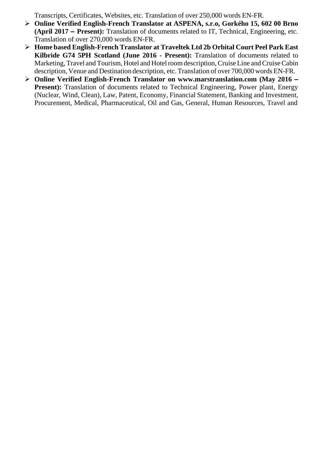Transcripts, Certificates, Websites, etc. Translation of over 250,000 words EN-FR.

- ➢ **Online Verified English-French Translator at ASPENA, s.r.o, Gorkého 15, 602 00 Brno (April 2017 – Present):** Translation of documents related to IT, Technical, Engineering, etc. Translation of over 270,000 words EN-FR.
- ➢ **Home based English-French Translator at Traveltek Ltd 2b Orbital Court Peel Park East Kilbride G74 5PH Scotland (June 2016 - Present):** Translation of documents related to Marketing, Travel and Tourism, Hotel and Hotel room description, Cruise Line and Cruise Cabin description, Venue and Destination description, etc. Translation of over 700,000 words EN-FR.
- ➢ **Online Verified English-French Translator on [www.marstranslation.com](http://www.marstranslation.com/) (May 2016 – Present):** Translation of documents related to Technical Engineering, Power plant, Energy (Nuclear, Wind, Clean), Law, Patent, Economy, Financial Statement, Banking and Investment, Procurement, Medical, Pharmaceutical, Oil and Gas, General, Human Resources, Travel and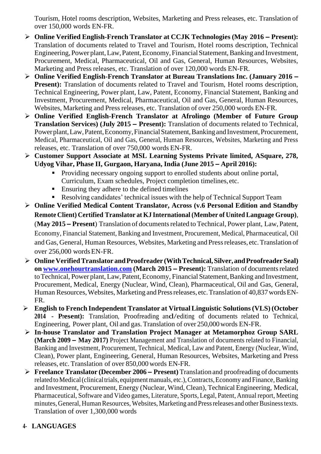Tourism, Hotel rooms description, Websites, Marketing and Press releases, etc. Translation of over 150,000 words EN-FR.

- ➢ **Online Verified English-French Translator at CCJK Technologies (May 2016 – Present):**  Translation of documents related to Travel and Tourism, Hotel rooms description, Technical Engineering, Power plant, Law, Patent, Economy, Financial Statement, Banking and Investment, Procurement, Medical, Pharmaceutical, Oil and Gas, General, Human Resources, Websites, Marketing and Press releases, etc. Translation of over 120,000 words EN-FR.
- ➢ **Online Verified English-French Translator at Bureau Translations Inc. (January 2016 – Present):** Translation of documents related to Travel and Tourism, Hotel rooms description, Technical Engineering, Power plant, Law, Patent, Economy, Financial Statement, Banking and Investment, Procurement, Medical, Pharmaceutical, Oil and Gas, General, Human Resources, Websites, Marketing and Press releases, etc. Translation of over 250,000 words EN-FR.
- ➢ **Online Verified English-French Translator at Afrolingo (Member of Future Group Translation Services) (July 2015 – Present):** Translation of documents related to Technical, Power plant, Law, Patent, Economy, Financial Statement, Banking and Investment, Procurement, Medical, Pharmaceutical, Oil and Gas, General, Human Resources, Websites, Marketing and Press releases, etc. Translation of over 750,000 words EN-FR.
- ➢ **Customer Support Associate at MSL Learning Systems Private limited, ASquare, 278, Udyog Vihar, Phase II, Gurgaon, Haryana, India (June 2015 – April 2016):**
	- Providing necessary ongoing support to enrolled students about online portal, Curriculum, Exam schedules, Project completion timelines,etc.
	- Ensuring they adhere to the defined timelines
	- Resolving candidates' technical issues with the help of Technical Support Team
- ➢ **Online Verified Medical Content Translator, Across (v.6 Personal Edition and Standby Remote Client) Certified Translator at KJ International (Member of United Language Group)**, (**May 2015 – Present**) Translation of documentsrelated to Technical, Power plant, Law, Patent, Economy, Financial Statement, Banking and Investment, Procurement, Medical, Pharmaceutical, Oil and Gas, General, Human Resources, Websites, Marketing and Press releases, etc. Translation of over 256,000 wordsEN-FR.
- ➢ **OnlineVerifiedTranslator andProofreader (WithTechnical,Silver,andProofreaderSeal) on [www.onehourtranslation.com](http://www.onehourtranslation.com/) (March 2015 – Present):** Translation of documentsrelated to Technical, Power plant, Law, Patent, Economy, Financial Statement, Banking and Investment, Procurement, Medical, Energy (Nuclear, Wind, Clean), Pharmaceutical, Oil and Gas, General, Human Resources, Websites, Marketing and Press releases, etc. Translation of 40,837 words EN-FR.
- ➢ **English to French Independent Translator at VirtualLinguistic Solutions(VLS) (October 2014 - Present):** Translation, Proofreading and/editing of documents related to Technical, Engineering, Power plant, Oil and gas. Translation of over 250,000 words EN-FR.
- ➢ **In-house Translator and Translation Project Manager at Metamorphoz Group SARL (March 2009 – May 2017)** Project Management and Translation of documents related to Financial, Banking and Investment, Procurement, Technical, Medical, Law and Patent, Energy (Nuclear, Wind, Clean), Power plant, Engineering, General, Human Resources, Websites, Marketing and Press releases, etc. Translation of over 850,000 words EN-FR.
- ➢ **Freelance Translator (December 2006 – Present)** Translation and proofreading of documents related to Medical (clinical trials, equipment manuals, etc.), Contracts, Economy and Finance, Banking and Investment, Procurement, Energy (Nuclear, Wind, Clean), Technical Engineering, Medical, Pharmaceutical, Software and Video games, Literature, Sports, Legal, Patent, Annual report, Meeting minutes, General, Human Resources, Websites, Marketing and Press releases and other Business texts. Translation of over 1,300,000 words

# **4- LANGUAGES**